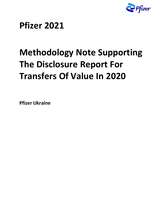

## **Pfizer 2021**

# **Methodology Note Supporting The Disclosure Report For Transfers Of Value In 2020**

**Pfizer Ukraine**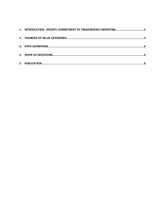| 1. INTRODUCTION - PFIZER'S COMMITMENT TO TRANSPARENCY REPORTING3 |
|------------------------------------------------------------------|
|                                                                  |
|                                                                  |
|                                                                  |
|                                                                  |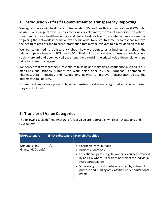### <span id="page-2-0"></span>**1. Introduction - Pfizer's Commitment to Transparency Reporting**

We regularly work with healthcare professionals (HCPs) and healthcare organisations (HCOs) who advise us on a range of topics such as medicines development, the role of a medicine in a patient treatment pathway; health economics and clinical best practice. These intercations are essential to gaining the real-world information we need in order to deliver treatment choices that improve the health of patients and to share information that may be relevant to clinical decision making.

We are committed to transparency about how we operate as a business and about the relationships we have with HCPs and HCOs. Sharing information about these relationships in a straightforward and open way will, we hope, help explain the critical value these relationships bring to patient management.

We believe that transparency is essential to building and maintaining confidence in us and in our medicines and strongly support the work being done by The European Federation of Pharmaceutical Industries and Associations (EFPIA) to improve transparency across the pharmaceutical industry.

This methodological note presents how the transfers of value are categorized and in what format they are disclosed.

### <span id="page-2-1"></span>**2. Transfer of Value Categories**

The following table defines what transfers of value are reported in which EFPIA category and subcategory.

| <b>EFPIA category</b>               | <b>EFPIA subcategory Example Activities</b> |                                                                                                                                                                                                                                                                                                                            |
|-------------------------------------|---------------------------------------------|----------------------------------------------------------------------------------------------------------------------------------------------------------------------------------------------------------------------------------------------------------------------------------------------------------------------------|
| Donations and<br>Grants (HCOs only) | n/a                                         | Charitable contributions<br><b>Business Donations</b><br>• Educational grants (e.g. fellowships, courses provided<br>by an HCO where Pfizer does not select the individual<br>HCPs participating)<br>• Sponsoring of speakers/faculty which by nature of<br>purpose and funding are classified under educational<br>grants |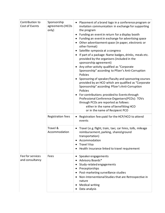| Contribution to<br>Cost of Events   | Sponsorship<br>agreements (HCOs<br>only) | Placement of a brand logo in a conference program or<br>invitation communication in exchange for supporting<br>the program<br>Funding an event in return for a display booth<br>Funding an event in exchange for advertising space<br>Other advertisement space (in paper, electronic or<br>other format)<br>Satellite symposia at a congress<br>$\bullet$<br>If part of a package: Name badges, drinks, meals etc.<br>provided by the organisers (included in the<br>sponsorship agreement)<br>Any other activity qualified as "Corporate<br>Sponsorship" according to Pfizer's Anti-Corruption<br>Policies<br>Sponsoring of speaker/faculty and sponsoring courses<br>provided by an HCO which are qualified as "Corporate"<br>Sponsorship" according Pfizer's Anti-Corruption<br>Policies<br>For contributions provided to Events through<br>Professional Conference Organisers (PCOs): TOVs<br>through PCOs are reported as follows:<br>either in the name of benefitting HCO<br>or in the name of Recipient PCO |
|-------------------------------------|------------------------------------------|----------------------------------------------------------------------------------------------------------------------------------------------------------------------------------------------------------------------------------------------------------------------------------------------------------------------------------------------------------------------------------------------------------------------------------------------------------------------------------------------------------------------------------------------------------------------------------------------------------------------------------------------------------------------------------------------------------------------------------------------------------------------------------------------------------------------------------------------------------------------------------------------------------------------------------------------------------------------------------------------------------------------|
|                                     | Registration fees                        | Registration fees paid for the HCP/HCO to attend<br>events                                                                                                                                                                                                                                                                                                                                                                                                                                                                                                                                                                                                                                                                                                                                                                                                                                                                                                                                                           |
|                                     | Travel &<br>Accommodation                | Travel (e.g. flight, train, taxi, car hires, tolls, mileage<br>reimbursement, parking, shared ground<br>transportation)<br>Accommodation<br><b>Travel Visa</b><br>Health Insurance linked to travel requirement                                                                                                                                                                                                                                                                                                                                                                                                                                                                                                                                                                                                                                                                                                                                                                                                      |
| Fee for services<br>and consultancy | Fees                                     | Speaker engagements<br>Advisory Boards*<br>Study-related engagements<br>Preceptorships<br>Post-marketing surveillance studies<br>Non-Interventional Studies that are Retrospective in<br>nature<br><b>Medical writing</b><br>Data analysis                                                                                                                                                                                                                                                                                                                                                                                                                                                                                                                                                                                                                                                                                                                                                                           |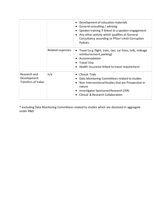|                                                          |                  | Development of education materials<br>General consulting / advising<br>Speaker training if linked to a speaker engagement<br>Any other activity which qualifies as General<br>Consultancy according to Pfizer's Anti-Corruption<br><b>Policies</b> |
|----------------------------------------------------------|------------------|----------------------------------------------------------------------------------------------------------------------------------------------------------------------------------------------------------------------------------------------------|
|                                                          | Related expenses | Travel (e.g. flight, train, taxi, car hires, tolls, mileage<br>reimbursement, parking)<br>Accommodation<br>Travel Visa<br>Health Insurance linked to travel requirement                                                                            |
| Research and<br>Development<br><b>Transfers of Value</b> | n/a              | <b>Clinical Trials</b><br>Data Monitoring Committees related to studies<br>Non-Interventional Studies that are Prospective in<br>nature<br>Investigator Sponsored Research (ISR)<br>Clinical & Research Collaboration                              |

\* excluding Data Monitoring Committees related to studies which are disclosed in aggregate under R&D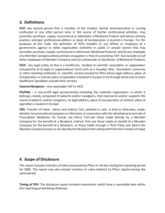#### <span id="page-5-0"></span>**3. Definitions**

**HCP:** any natural person that is member of the medical, dental, pharmaceutical or nursing profession or any other person who, in the course of his/her professional activities, may prescribe, purchase, supply, recommend or administer a Medicinal Product and whose primary practice, principal professional address or place of incorporation is located in Europe. For the purposes of this Code, the definition of HCPs includes (i) any official or employee of a government, agency or other organisation (whether in public or private sector) that may prescribe, purchase, supply, recommend or administer Medicinal Products, and (ii) any employee of a Member Company whose primary occupation is that of a practicing HCP, but excludes (x) all other employees of Member Company and (y) a wholesaler or distributor of Medicinal Products

**HCO:** any legal entity (i) that is a healthcare, medical or scientific association or organisation (irrespective of its legal or organisational form) such as a hospital, clinic, foundation, university or other teaching institution or scientific society (except for POs) whose legal address, place of incorporation or primary place of operation is located in Europe or (ii) through which one or more Healthcare Specialists provide their services

**Covered Recipient** – Any reportable HCP or HCO

**PO/PAG** – a non-profit legal person/entity (including the umbrella organisation to which it belongs), mainly composed of patients and/or caregivers, that represents and/or supports the needs of patients and/or caregivers, its legal address, place of incorporation or primary place of operation is located in Europe

**TOV**: Transfer of Value - Direct and indirect ToV, whether in cash, in kind or otherwise, made, whether for promotional purposes or otherwise, in connection with the development and sale of Prescription Medicines for human use. Direct ToVs are those made directly by a Member Company for the benefit of a Recipient. Indirect ToVs are those made on behalf of a Member Company for the benefit of a Recipient, or those made through a Third Party and where the Member Company knows or can identify the Recipient that will benefit from the Transfer of Value

### <span id="page-5-1"></span>**4. Scope of Disclosure**

This report includes transfers of value processed by Pfizer in Ukraine during the reporting period for 2020. The report may also include transfers of value initiated by Pfizer Upjohn during the same period.

**Timing of TOV:** The disclosure report includes transactions which have a reportable date within the reporting period being disclosed.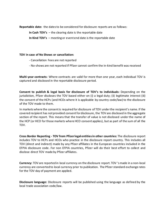**Reportable date:** the dates to be considered for disclosure reports are as follows:

**In Cash TOV's** – the clearing date is the reportable date

**In Kind TOV's** – meeting or event end date is the reportable date

#### **TOV in case of No Shows or cancellation:**

- Cancellation Fees are not reported
- No-shows are not reported if Pfizer cannot confirm the in-kind benefit was received

**Multi-year contracts:** Where contracts are valid for more than one year, each individual TOV is captured and disclosed in the reportable disclosure period.

**Consent to publish & legal basis for disclosure of TOV's to individuals:** Depending on the jurisdiction, Pfizer discloses the TOV based either on (i) a legal duty; (ii) legitimate interest (iii) the consent of the HCPs (and HCOs where it is applicable by country code/law) to the disclosure of the TOV made to them.

In markets where the consent is required for disclosure of TOV under the recipient's name. If the covered recipient has not provided consentfor disclosure, the TOV are disclosed in the aggregate section of the report. This means that the transfer of value is not disclosed under the name of the HCP (or HCO for those markets where HCO consent applies), but as part of the sum of all the TOV.

**Cross Border Reporting - TOV from Pfizer legal entities in other countries:** The disclosure report includes TOV to HCPs and HCOs who practice in the disclosure report country. This includes all TOV (direct and indirect) made by any Pfizer affiliates in the European countries included in the EFPIA disclosure code. For non EFPIA countries, Pfizer will do their best effort to collect and disclose direct TOV made by Pfizer affiliates.

**Currency:** TOV are reported in local currency on the disclosure report. TOV 'smade in a non-local currency are converted to local currency prior to publication. The Pfizer standard exchange rates for the TOV day of payment are applied.

**Disclosure language:** Disclosure reports will be published using the language as defined by the local trade association code/law.